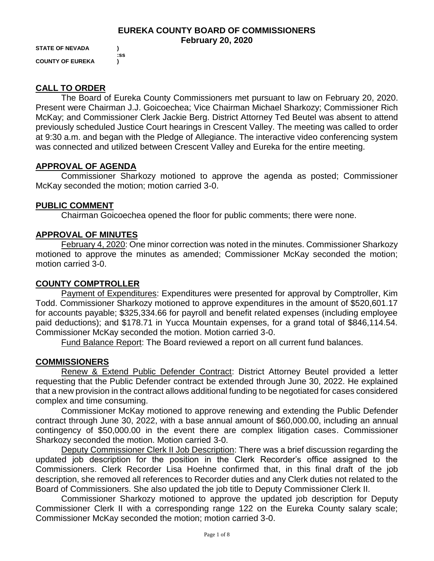## **EUREKA COUNTY BOARD OF COMMISSIONERS February 20, 2020**

**STATE OF NEVADA ) COUNTY OF EUREKA )**

 **:ss**

## **CALL TO ORDER**

The Board of Eureka County Commissioners met pursuant to law on February 20, 2020. Present were Chairman J.J. Goicoechea; Vice Chairman Michael Sharkozy; Commissioner Rich McKay; and Commissioner Clerk Jackie Berg. District Attorney Ted Beutel was absent to attend previously scheduled Justice Court hearings in Crescent Valley. The meeting was called to order at 9:30 a.m. and began with the Pledge of Allegiance. The interactive video conferencing system was connected and utilized between Crescent Valley and Eureka for the entire meeting.

## **APPROVAL OF AGENDA**

Commissioner Sharkozy motioned to approve the agenda as posted; Commissioner McKay seconded the motion; motion carried 3-0.

## **PUBLIC COMMENT**

Chairman Goicoechea opened the floor for public comments; there were none.

## **APPROVAL OF MINUTES**

February 4, 2020: One minor correction was noted in the minutes. Commissioner Sharkozy motioned to approve the minutes as amended; Commissioner McKay seconded the motion; motion carried 3-0.

## **COUNTY COMPTROLLER**

Payment of Expenditures: Expenditures were presented for approval by Comptroller, Kim Todd. Commissioner Sharkozy motioned to approve expenditures in the amount of \$520,601.17 for accounts payable; \$325,334.66 for payroll and benefit related expenses (including employee paid deductions); and \$178.71 in Yucca Mountain expenses, for a grand total of \$846,114.54. Commissioner McKay seconded the motion. Motion carried 3-0.

Fund Balance Report: The Board reviewed a report on all current fund balances.

#### **COMMISSIONERS**

Renew & Extend Public Defender Contract: District Attorney Beutel provided a letter requesting that the Public Defender contract be extended through June 30, 2022. He explained that a new provision in the contract allows additional funding to be negotiated for cases considered complex and time consuming.

Commissioner McKay motioned to approve renewing and extending the Public Defender contract through June 30, 2022, with a base annual amount of \$60,000.00, including an annual contingency of \$50,000.00 in the event there are complex litigation cases. Commissioner Sharkozy seconded the motion. Motion carried 3-0.

Deputy Commissioner Clerk II Job Description: There was a brief discussion regarding the updated job description for the position in the Clerk Recorder's office assigned to the Commissioners. Clerk Recorder Lisa Hoehne confirmed that, in this final draft of the job description, she removed all references to Recorder duties and any Clerk duties not related to the Board of Commissioners. She also updated the job title to Deputy Commissioner Clerk II.

Commissioner Sharkozy motioned to approve the updated job description for Deputy Commissioner Clerk II with a corresponding range 122 on the Eureka County salary scale; Commissioner McKay seconded the motion; motion carried 3-0.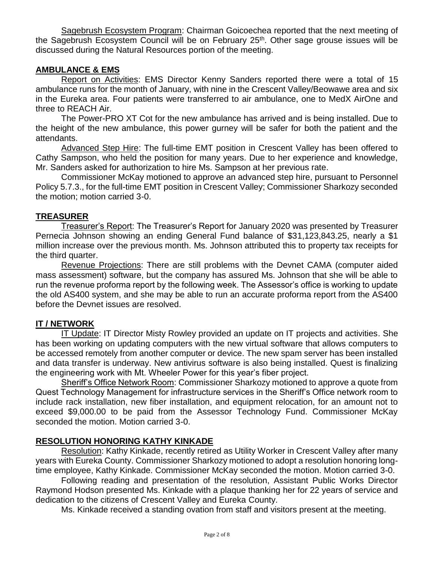Sagebrush Ecosystem Program: Chairman Goicoechea reported that the next meeting of the Sagebrush Ecosystem Council will be on February  $25<sup>th</sup>$ . Other sage grouse issues will be discussed during the Natural Resources portion of the meeting.

## **AMBULANCE & EMS**

Report on Activities: EMS Director Kenny Sanders reported there were a total of 15 ambulance runs for the month of January, with nine in the Crescent Valley/Beowawe area and six in the Eureka area. Four patients were transferred to air ambulance, one to MedX AirOne and three to REACH Air.

The Power-PRO XT Cot for the new ambulance has arrived and is being installed. Due to the height of the new ambulance, this power gurney will be safer for both the patient and the attendants.

Advanced Step Hire: The full-time EMT position in Crescent Valley has been offered to Cathy Sampson, who held the position for many years. Due to her experience and knowledge, Mr. Sanders asked for authorization to hire Ms. Sampson at her previous rate.

Commissioner McKay motioned to approve an advanced step hire, pursuant to Personnel Policy 5.7.3., for the full-time EMT position in Crescent Valley; Commissioner Sharkozy seconded the motion; motion carried 3-0.

# **TREASURER**

Treasurer's Report: The Treasurer's Report for January 2020 was presented by Treasurer Pernecia Johnson showing an ending General Fund balance of \$31,123,843.25, nearly a \$1 million increase over the previous month. Ms. Johnson attributed this to property tax receipts for the third quarter.

Revenue Projections: There are still problems with the Devnet CAMA (computer aided mass assessment) software, but the company has assured Ms. Johnson that she will be able to run the revenue proforma report by the following week. The Assessor's office is working to update the old AS400 system, and she may be able to run an accurate proforma report from the AS400 before the Devnet issues are resolved.

# **IT / NETWORK**

IT Update: IT Director Misty Rowley provided an update on IT projects and activities. She has been working on updating computers with the new virtual software that allows computers to be accessed remotely from another computer or device. The new spam server has been installed and data transfer is underway. New antivirus software is also being installed. Quest is finalizing the engineering work with Mt. Wheeler Power for this year's fiber project.

Sheriff's Office Network Room: Commissioner Sharkozy motioned to approve a quote from Quest Technology Management for infrastructure services in the Sheriff's Office network room to include rack installation, new fiber installation, and equipment relocation, for an amount not to exceed \$9,000.00 to be paid from the Assessor Technology Fund. Commissioner McKay seconded the motion. Motion carried 3-0.

# **RESOLUTION HONORING KATHY KINKADE**

Resolution: Kathy Kinkade, recently retired as Utility Worker in Crescent Valley after many years with Eureka County. Commissioner Sharkozy motioned to adopt a resolution honoring longtime employee, Kathy Kinkade. Commissioner McKay seconded the motion. Motion carried 3-0.

Following reading and presentation of the resolution, Assistant Public Works Director Raymond Hodson presented Ms. Kinkade with a plaque thanking her for 22 years of service and dedication to the citizens of Crescent Valley and Eureka County.

Ms. Kinkade received a standing ovation from staff and visitors present at the meeting.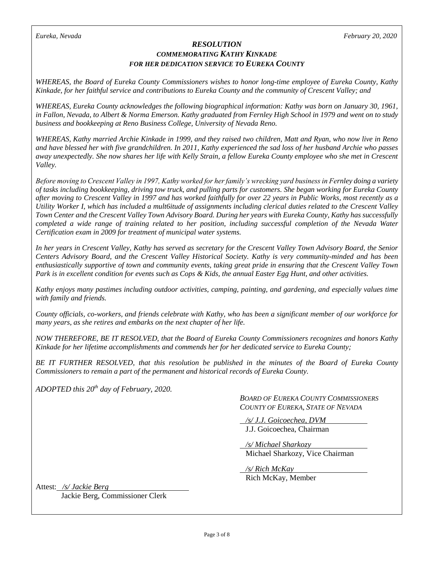#### *RESOLUTION COMMEMORATING KATHY KINKADE FOR HER DEDICATION SERVICE TO EUREKA COUNTY*

*WHEREAS, the Board of Eureka County Commissioners wishes to honor long-time employee of Eureka County, Kathy Kinkade, for her faithful service and contributions to Eureka County and the community of Crescent Valley; and*

*WHEREAS, Eureka County acknowledges the following biographical information: Kathy was born on January 30, 1961, in Fallon, Nevada, to Albert & Norma Emerson. Kathy graduated from Fernley High School in 1979 and went on to study business and bookkeeping at Reno Business College, University of Nevada Reno.* 

*WHEREAS, Kathy married Archie Kinkade in 1999, and they raised two children, Matt and Ryan, who now live in Reno and have blessed her with five grandchildren. In 2011, Kathy experienced the sad loss of her husband Archie who passes away unexpectedly. She now shares her life with Kelly Strain, a fellow Eureka County employee who she met in Crescent Valley.* 

*Before moving to Crescent Valley in 1997, Kathy worked for her family's wrecking yard business in Fernley doing a variety of tasks including bookkeeping, driving tow truck, and pulling parts for customers. She began working for Eureka County after moving to Crescent Valley in 1997 and has worked faithfully for over 22 years in Public Works, most recently as a Utility Worker I, which has included a mult6itude of assignments including clerical duties related to the Crescent Valley Town Center and the Crescent Valley Town Advisory Board. During her years with Eureka County, Kathy has successfully completed a wide range of training related to her position, including successful completion of the Nevada Water Certification exam in 2009 for treatment of municipal water systems.* 

*In her years in Crescent Valley, Kathy has served as secretary for the Crescent Valley Town Advisory Board, the Senior Centers Advisory Board, and the Crescent Valley Historical Society. Kathy is very community-minded and has been enthusiastically supportive of town and community events, taking great pride in ensuring that the Crescent Valley Town Park is in excellent condition for events such as Cops & Kids, the annual Easter Egg Hunt, and other activities.* 

*Kathy enjoys many pastimes including outdoor activities, camping, painting, and gardening, and especially values time with family and friends.* 

*County officials, co-workers, and friends celebrate with Kathy, who has been a significant member of our workforce for many years, as she retires and embarks on the next chapter of her life.* 

*NOW THEREFORE, BE IT RESOLVED, that the Board of Eureka County Commissioners recognizes and honors Kathy Kinkade for her lifetime accomplishments and commends her for her dedicated service to Eureka County;* 

*BE IT FURTHER RESOLVED, that this resolution be published in the minutes of the Board of Eureka County Commissioners to remain a part of the permanent and historical records of Eureka County.*

*ADOPTED this 20th day of February, 2020.* 

*BOARD OF EUREKA COUNTY COMMISSIONERS COUNTY OF EUREKA, STATE OF NEVADA* 

 */s/ J.J. Goicoechea, DVM* J.J. Goicoechea, Chairman

 */s/ Michael Sharkozy* Michael Sharkozy, Vice Chairman

 */s/ Rich McKay* Rich McKay, Member

Attest: */s/ Jackie Berg*

Jackie Berg, Commissioner Clerk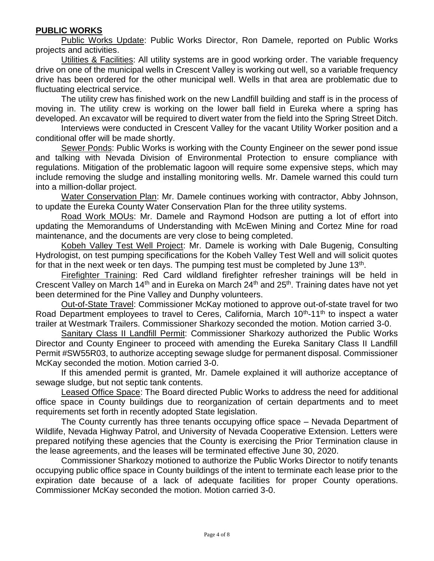# **PUBLIC WORKS**

Public Works Update: Public Works Director, Ron Damele, reported on Public Works projects and activities.

Utilities & Facilities: All utility systems are in good working order. The variable frequency drive on one of the municipal wells in Crescent Valley is working out well, so a variable frequency drive has been ordered for the other municipal well. Wells in that area are problematic due to fluctuating electrical service.

The utility crew has finished work on the new Landfill building and staff is in the process of moving in. The utility crew is working on the lower ball field in Eureka where a spring has developed. An excavator will be required to divert water from the field into the Spring Street Ditch.

Interviews were conducted in Crescent Valley for the vacant Utility Worker position and a conditional offer will be made shortly.

Sewer Ponds: Public Works is working with the County Engineer on the sewer pond issue and talking with Nevada Division of Environmental Protection to ensure compliance with regulations. Mitigation of the problematic lagoon will require some expensive steps, which may include removing the sludge and installing monitoring wells. Mr. Damele warned this could turn into a million-dollar project.

Water Conservation Plan: Mr. Damele continues working with contractor, Abby Johnson, to update the Eureka County Water Conservation Plan for the three utility systems.

Road Work MOUs: Mr. Damele and Raymond Hodson are putting a lot of effort into updating the Memorandums of Understanding with McEwen Mining and Cortez Mine for road maintenance, and the documents are very close to being completed.

Kobeh Valley Test Well Project: Mr. Damele is working with Dale Bugenig, Consulting Hydrologist, on test pumping specifications for the Kobeh Valley Test Well and will solicit quotes for that in the next week or ten days. The pumping test must be completed by June  $13<sup>th</sup>$ .

Firefighter Training: Red Card wildland firefighter refresher trainings will be held in Crescent Valley on March 14<sup>th</sup> and in Eureka on March 24<sup>th</sup> and 25<sup>th</sup>. Training dates have not yet been determined for the Pine Valley and Dunphy volunteers.

Out-of-State Travel: Commissioner McKay motioned to approve out-of-state travel for two Road Department employees to travel to Ceres, California, March 10<sup>th</sup>-11<sup>th</sup> to inspect a water trailer at Westmark Trailers. Commissioner Sharkozy seconded the motion. Motion carried 3-0.

Sanitary Class II Landfill Permit: Commissioner Sharkozy authorized the Public Works Director and County Engineer to proceed with amending the Eureka Sanitary Class II Landfill Permit #SW55R03, to authorize accepting sewage sludge for permanent disposal. Commissioner McKay seconded the motion. Motion carried 3-0.

If this amended permit is granted, Mr. Damele explained it will authorize acceptance of sewage sludge, but not septic tank contents.

Leased Office Space: The Board directed Public Works to address the need for additional office space in County buildings due to reorganization of certain departments and to meet requirements set forth in recently adopted State legislation.

The County currently has three tenants occupying office space – Nevada Department of Wildlife, Nevada Highway Patrol, and University of Nevada Cooperative Extension. Letters were prepared notifying these agencies that the County is exercising the Prior Termination clause in the lease agreements, and the leases will be terminated effective June 30, 2020.

Commissioner Sharkozy motioned to authorize the Public Works Director to notify tenants occupying public office space in County buildings of the intent to terminate each lease prior to the expiration date because of a lack of adequate facilities for proper County operations. Commissioner McKay seconded the motion. Motion carried 3-0.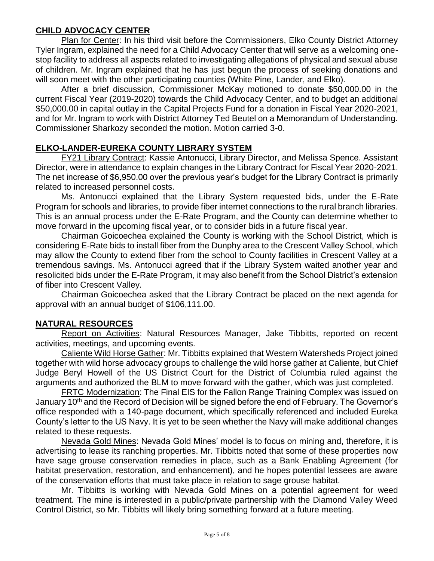# **CHILD ADVOCACY CENTER**

Plan for Center: In his third visit before the Commissioners, Elko County District Attorney Tyler Ingram, explained the need for a Child Advocacy Center that will serve as a welcoming onestop facility to address all aspects related to investigating allegations of physical and sexual abuse of children. Mr. Ingram explained that he has just begun the process of seeking donations and will soon meet with the other participating counties (White Pine, Lander, and Elko).

After a brief discussion, Commissioner McKay motioned to donate \$50,000.00 in the current Fiscal Year (2019-2020) towards the Child Advocacy Center, and to budget an additional \$50,000.00 in capital outlay in the Capital Projects Fund for a donation in Fiscal Year 2020-2021, and for Mr. Ingram to work with District Attorney Ted Beutel on a Memorandum of Understanding. Commissioner Sharkozy seconded the motion. Motion carried 3-0.

# **ELKO-LANDER-EUREKA COUNTY LIBRARY SYSTEM**

FY21 Library Contract: Kassie Antonucci, Library Director, and Melissa Spence. Assistant Director, were in attendance to explain changes in the Library Contract for Fiscal Year 2020-2021. The net increase of \$6,950.00 over the previous year's budget for the Library Contract is primarily related to increased personnel costs.

Ms. Antonucci explained that the Library System requested bids, under the E-Rate Program for schools and libraries, to provide fiber internet connections to the rural branch libraries. This is an annual process under the E-Rate Program, and the County can determine whether to move forward in the upcoming fiscal year, or to consider bids in a future fiscal year.

Chairman Goicoechea explained the County is working with the School District, which is considering E-Rate bids to install fiber from the Dunphy area to the Crescent Valley School, which may allow the County to extend fiber from the school to County facilities in Crescent Valley at a tremendous savings. Ms. Antonucci agreed that if the Library System waited another year and resolicited bids under the E-Rate Program, it may also benefit from the School District's extension of fiber into Crescent Valley.

Chairman Goicoechea asked that the Library Contract be placed on the next agenda for approval with an annual budget of \$106,111.00.

# **NATURAL RESOURCES**

Report on Activities: Natural Resources Manager, Jake Tibbitts, reported on recent activities, meetings, and upcoming events.

Caliente Wild Horse Gather: Mr. Tibbitts explained that Western Watersheds Project joined together with wild horse advocacy groups to challenge the wild horse gather at Caliente, but Chief Judge Beryl Howell of the US District Court for the District of Columbia ruled against the arguments and authorized the BLM to move forward with the gather, which was just completed.

FRTC Modernization: The Final EIS for the Fallon Range Training Complex was issued on January 10<sup>th</sup> and the Record of Decision will be signed before the end of February. The Governor's office responded with a 140-page document, which specifically referenced and included Eureka County's letter to the US Navy. It is yet to be seen whether the Navy will make additional changes related to these requests.

Nevada Gold Mines: Nevada Gold Mines' model is to focus on mining and, therefore, it is advertising to lease its ranching properties. Mr. Tibbitts noted that some of these properties now have sage grouse conservation remedies in place, such as a Bank Enabling Agreement (for habitat preservation, restoration, and enhancement), and he hopes potential lessees are aware of the conservation efforts that must take place in relation to sage grouse habitat.

Mr. Tibbitts is working with Nevada Gold Mines on a potential agreement for weed treatment. The mine is interested in a public/private partnership with the Diamond Valley Weed Control District, so Mr. Tibbitts will likely bring something forward at a future meeting.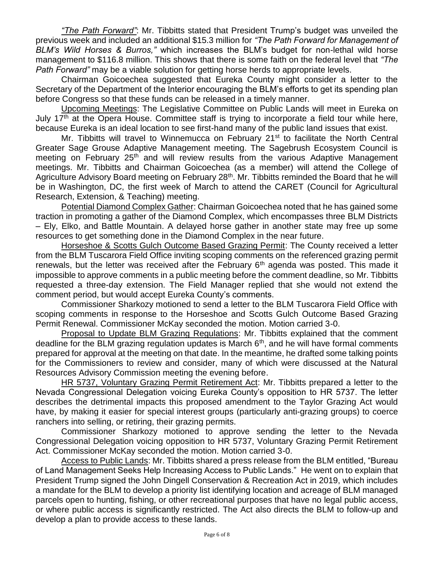*"The Path Forward"*: Mr. Tibbitts stated that President Trump's budget was unveiled the previous week and included an additional \$15.3 million for *"The Path Forward for Management of BLM's Wild Horses & Burros,"* which increases the BLM's budget for non-lethal wild horse management to \$116.8 million. This shows that there is some faith on the federal level that *"The Path Forward"* may be a viable solution for getting horse herds to appropriate levels.

Chairman Goicoechea suggested that Eureka County might consider a letter to the Secretary of the Department of the Interior encouraging the BLM's efforts to get its spending plan before Congress so that these funds can be released in a timely manner.

Upcoming Meetings: The Legislative Committee on Public Lands will meet in Eureka on July 17<sup>th</sup> at the Opera House. Committee staff is trying to incorporate a field tour while here, because Eureka is an ideal location to see first-hand many of the public land issues that exist.

Mr. Tibbitts will travel to Winnemucca on February 21<sup>st</sup> to facilitate the North Central Greater Sage Grouse Adaptive Management meeting. The Sagebrush Ecosystem Council is meeting on February 25<sup>th</sup> and will review results from the various Adaptive Management meetings. Mr. Tibbitts and Chairman Goicoechea (as a member) will attend the College of Agriculture Advisory Board meeting on February 28<sup>th</sup>. Mr. Tibbitts reminded the Board that he will be in Washington, DC, the first week of March to attend the CARET (Council for Agricultural Research, Extension, & Teaching) meeting.

Potential Diamond Complex Gather: Chairman Goicoechea noted that he has gained some traction in promoting a gather of the Diamond Complex, which encompasses three BLM Districts – Ely, Elko, and Battle Mountain. A delayed horse gather in another state may free up some resources to get something done in the Diamond Complex in the near future.

Horseshoe & Scotts Gulch Outcome Based Grazing Permit: The County received a letter from the BLM Tuscarora Field Office inviting scoping comments on the referenced grazing permit renewals, but the letter was received after the February  $6<sup>th</sup>$  agenda was posted. This made it impossible to approve comments in a public meeting before the comment deadline, so Mr. Tibbitts requested a three-day extension. The Field Manager replied that she would not extend the comment period, but would accept Eureka County's comments.

Commissioner Sharkozy motioned to send a letter to the BLM Tuscarora Field Office with scoping comments in response to the Horseshoe and Scotts Gulch Outcome Based Grazing Permit Renewal. Commissioner McKay seconded the motion. Motion carried 3-0.

Proposal to Update BLM Grazing Regulations: Mr. Tibbitts explained that the comment deadline for the BLM grazing regulation updates is March  $6<sup>th</sup>$ , and he will have formal comments prepared for approval at the meeting on that date. In the meantime, he drafted some talking points for the Commissioners to review and consider, many of which were discussed at the Natural Resources Advisory Commission meeting the evening before.

HR 5737, Voluntary Grazing Permit Retirement Act: Mr. Tibbitts prepared a letter to the Nevada Congressional Delegation voicing Eureka County's opposition to HR 5737. The letter describes the detrimental impacts this proposed amendment to the Taylor Grazing Act would have, by making it easier for special interest groups (particularly anti-grazing groups) to coerce ranchers into selling, or retiring, their grazing permits.

Commissioner Sharkozy motioned to approve sending the letter to the Nevada Congressional Delegation voicing opposition to HR 5737, Voluntary Grazing Permit Retirement Act. Commissioner McKay seconded the motion. Motion carried 3-0.

Access to Public Lands: Mr. Tibbitts shared a press release from the BLM entitled, "Bureau of Land Management Seeks Help Increasing Access to Public Lands." He went on to explain that President Trump signed the John Dingell Conservation & Recreation Act in 2019, which includes a mandate for the BLM to develop a priority list identifying location and acreage of BLM managed parcels open to hunting, fishing, or other recreational purposes that have no legal public access, or where public access is significantly restricted. The Act also directs the BLM to follow-up and develop a plan to provide access to these lands.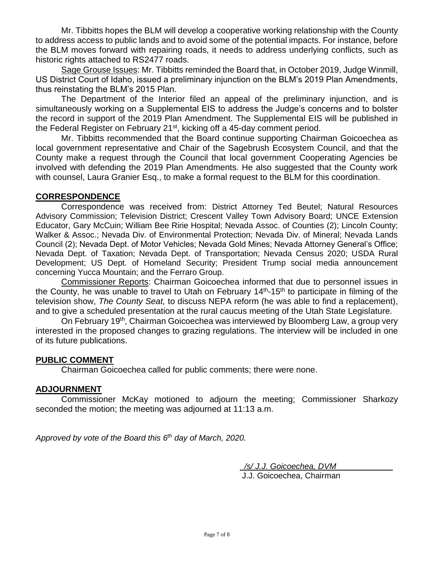Mr. Tibbitts hopes the BLM will develop a cooperative working relationship with the County to address access to public lands and to avoid some of the potential impacts. For instance, before the BLM moves forward with repairing roads, it needs to address underlying conflicts, such as historic rights attached to RS2477 roads.

Sage Grouse Issues: Mr. Tibbitts reminded the Board that, in October 2019, Judge Winmill, US District Court of Idaho, issued a preliminary injunction on the BLM's 2019 Plan Amendments, thus reinstating the BLM's 2015 Plan.

The Department of the Interior filed an appeal of the preliminary injunction, and is simultaneously working on a Supplemental EIS to address the Judge's concerns and to bolster the record in support of the 2019 Plan Amendment. The Supplemental EIS will be published in the Federal Register on February 21<sup>st</sup>, kicking off a 45-day comment period.

Mr. Tibbitts recommended that the Board continue supporting Chairman Goicoechea as local government representative and Chair of the Sagebrush Ecosystem Council, and that the County make a request through the Council that local government Cooperating Agencies be involved with defending the 2019 Plan Amendments. He also suggested that the County work with counsel, Laura Granier Esq., to make a formal request to the BLM for this coordination.

## **CORRESPONDENCE**

Correspondence was received from: District Attorney Ted Beutel; Natural Resources Advisory Commission; Television District; Crescent Valley Town Advisory Board; UNCE Extension Educator, Gary McCuin; William Bee Ririe Hospital; Nevada Assoc. of Counties (2); Lincoln County; Walker & Assoc.; Nevada Div. of Environmental Protection; Nevada Div. of Mineral; Nevada Lands Council (2); Nevada Dept. of Motor Vehicles; Nevada Gold Mines; Nevada Attorney General's Office; Nevada Dept. of Taxation; Nevada Dept. of Transportation; Nevada Census 2020; USDA Rural Development; US Dept. of Homeland Security; President Trump social media announcement concerning Yucca Mountain; and the Ferraro Group.

Commissioner Reports: Chairman Goicoechea informed that due to personnel issues in the County, he was unable to travel to Utah on February  $14<sup>th</sup>$ -15<sup>th</sup> to participate in filming of the television show, *The County Seat,* to discuss NEPA reform (he was able to find a replacement), and to give a scheduled presentation at the rural caucus meeting of the Utah State Legislature.

On February 19th, Chairman Goicoechea was interviewed by Bloomberg Law, a group very interested in the proposed changes to grazing regulations. The interview will be included in one of its future publications.

#### **PUBLIC COMMENT**

Chairman Goicoechea called for public comments; there were none.

## **ADJOURNMENT**

Commissioner McKay motioned to adjourn the meeting; Commissioner Sharkozy seconded the motion; the meeting was adjourned at 11:13 a.m.

*Approved by vote of the Board this 6 th day of March, 2020.* 

 */s/ J.J. Goicoechea, DVM* J.J. Goicoechea, Chairman